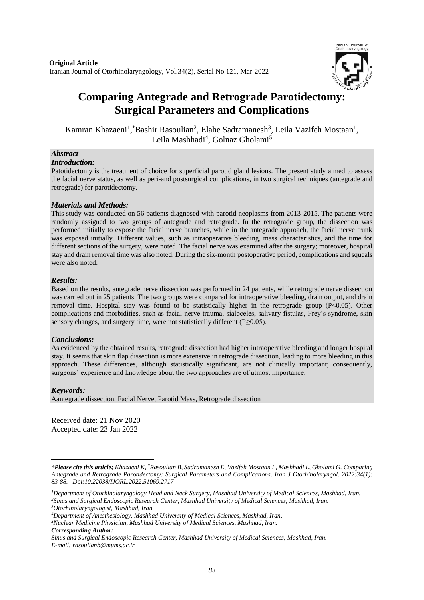

# **Comparing Antegrade and Retrograde Parotidectomy: Surgical Parameters and Complications**

Kamran Khazaeni<sup>1</sup>, \*Bashir Rasoulian<sup>2</sup>, Elahe Sadramanesh<sup>3</sup>, Leila Vazifeh Mostaan<sup>1</sup>, Leila Mashhadi<sup>4</sup>, Golnaz Gholami<sup>5</sup>

# *Abstract*

#### *Introduction:*

Patotidectomy is the treatment of choice for superficial parotid gland lesions. The present study aimed to assess the facial nerve status, as well as peri-and postsurgical complications, in two surgical techniques (antegrade and retrograde) for parotidectomy.

#### *Materials and Methods:*

This study was conducted on 56 patients diagnosed with parotid neoplasms from 2013-2015. The patients were randomly assigned to two groups of antegrade and retrograde. In the retrograde group, the dissection was performed initially to expose the facial nerve branches, while in the antegrade approach, the facial nerve trunk was exposed initially. Different values, such as intraoperative bleeding, mass characteristics, and the time for different sections of the surgery, were noted. The facial nerve was examined after the surgery; moreover, hospital stay and drain removal time was also noted. During the six-month postoperative period, complications and squeals were also noted.

#### *Results:*

Based on the results, antegrade nerve dissection was performed in 24 patients, while retrograde nerve dissection was carried out in 25 patients. The two groups were compared for intraoperative bleeding, drain output, and drain removal time. Hospital stay was found to be statistically higher in the retrograde group (P<0.05). Other complications and morbidities, such as facial nerve trauma, sialoceles, salivary fistulas, Frey's syndrome, skin sensory changes, and surgery time, were not statistically different (P $\geq$ 0.05).

#### *Conclusions:*

As evidenced by the obtained results, retrograde dissection had higher intraoperative bleeding and longer hospital stay. It seems that skin flap dissection is more extensive in retrograde dissection, leading to more bleeding in this approach. These differences, although statistically significant, are not clinically important; consequently, surgeons' experience and knowledge about the two approaches are of utmost importance.

#### *Keywords:*

Aantegrade dissection, Facial Nerve, Parotid Mass, Retrograde dissection

Received date: 21 Nov 2020 Accepted date: 23 Jan 2022

*<sup>5</sup>Nuclear Medicine Physician, Mashhad University of Medical Sciences, Mashhad, Iran. Corresponding Author:*

**<sup>.</sup>** *\*Please cite this article; Khazaeni K, \*Rasoulian B, Sadramanesh E, Vazifeh Mostaan L, Mashhadi L, Gholami G. Comparing Antegrade and Retrograde Parotidectomy: Surgical Parameters and Complications*. *[Iran J Otorhinolaryngol.](https://www.ncbi.nlm.nih.gov/pubmed/?term=Tri-layer+Tympanoplasty+as+a+New+Technique+in+High-risk+Tympanic+Membrane+Perforations) 2022:34(1): 83-88. Doi:10.22038/IJORL.2022.51069.2717*

*<sup>1</sup>Department of Otorhinolaryngology Head and Neck Surgery, Mashhad University of Medical Sciences, Mashhad, Iran. <sup>2</sup>Sinus and Surgical Endoscopic Research Center, Mashhad University of Medical Sciences, Mashhad, Iran. <sup>3</sup>Otorhinolaryngologist, Mashhad, Iran.*

*<sup>4</sup>Department of Anesthesiology, Mashhad University of Medical Sciences, Mashhad, Iran*.

*Sinus and Surgical Endoscopic Research Center, Mashhad University of Medical Sciences, Mashhad, Iran. E-mail[: rasoulianb@mums.ac.ir](mailto:rasoulianb@mums.ac.ir)*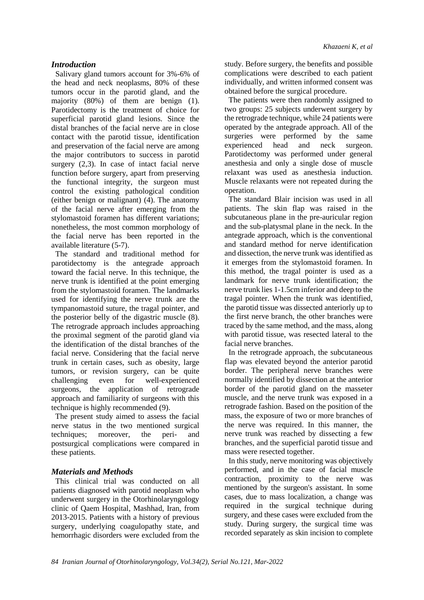### *Introduction*

Salivary gland tumors account for 3%-6% of the head and neck neoplasms, 80% of these tumors occur in the parotid gland, and the majority (80%) of them are benign (1). Parotidectomy is the treatment of choice for superficial parotid gland lesions. Since the distal branches of the facial nerve are in close contact with the parotid tissue, identification and preservation of the facial nerve are among the major contributors to success in parotid surgery (2,3). In case of intact facial nerve function before surgery, apart from preserving the functional integrity, the surgeon must control the existing pathological condition (either benign or malignant) (4). The anatomy of the facial nerve after emerging from the stylomastoid foramen has different variations; nonetheless, the most common morphology of the facial nerve has been reported in the available literature (5-7).

The standard and traditional method for parotidectomy is the antegrade approach toward the facial nerve. In this technique, the nerve trunk is identified at the point emerging from the stylomastoid foramen. The landmarks used for identifying the nerve trunk are the tympanomastoid suture, the tragal pointer, and the posterior belly of the digastric muscle (8). The retrograde approach includes approaching the proximal segment of the parotid gland via the identification of the distal branches of the facial nerve. Considering that the facial nerve trunk in certain cases, such as obesity, large tumors, or revision surgery, can be quite challenging even for well-experienced surgeons, the application of retrograde approach and familiarity of surgeons with this technique is highly recommended (9).

The present study aimed to assess the facial nerve status in the two mentioned surgical techniques; moreover, the peri- and postsurgical complications were compared in these patients.

#### *Materials and Methods*

This clinical trial was conducted on all patients diagnosed with parotid neoplasm who underwent surgery in the Otorhinolaryngology clinic of Qaem Hospital, Mashhad, Iran, from 2013-2015. Patients with a history of previous surgery, underlying coagulopathy state, and hemorrhagic disorders were excluded from the

study. Before surgery, the benefits and possible complications were described to each patient individually, and written informed consent was obtained before the surgical procedure.

The patients were then randomly assigned to two groups: 25 subjects underwent surgery by the retrograde technique, while 24 patients were operated by the antegrade approach. All of the surgeries were performed by the same<br>experienced head and neck surgeon. experienced head and neck surgeon. Parotidectomy was performed under general anesthesia and only a single dose of muscle relaxant was used as anesthesia induction. Muscle relaxants were not repeated during the operation.

The standard Blair incision was used in all patients. The skin flap was raised in the subcutaneous plane in the pre-auricular region and the sub-platysmal plane in the neck. In the antegrade approach, which is the conventional and standard method for nerve identification and dissection, the nerve trunk was identified as it emerges from the stylomastoid foramen. In this method, the tragal pointer is used as a landmark for nerve trunk identification; the nerve trunk lies 1-1.5cm inferior and deep to the tragal pointer. When the trunk was identified, the parotid tissue was dissected anteriorly up to the first nerve branch, the other branches were traced by the same method, and the mass, along with parotid tissue, was resected lateral to the facial nerve branches.

In the retrograde approach, the subcutaneous flap was elevated beyond the anterior parotid border. The peripheral nerve branches were normally identified by dissection at the anterior border of the parotid gland on the masseter muscle, and the nerve trunk was exposed in a retrograde fashion. Based on the position of the mass, the exposure of two or more branches of the nerve was required. In this manner, the nerve trunk was reached by dissecting a few branches, and the superficial parotid tissue and mass were resected together.

In this study, nerve monitoring was objectively performed, and in the case of facial muscle contraction, proximity to the nerve was mentioned by the surgeon's assistant. In some cases, due to mass localization, a change was required in the surgical technique during surgery, and these cases were excluded from the study. During surgery, the surgical time was recorded separately as skin incision to complete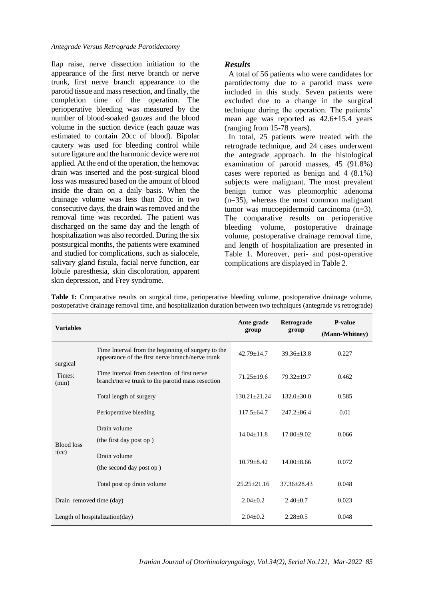flap raise, nerve dissection initiation to the appearance of the first nerve branch or nerve trunk, first nerve branch appearance to the parotid tissue and mass resection, and finally, the completion time of the operation. The perioperative bleeding was measured by the number of blood-soaked gauzes and the blood volume in the suction device (each gauze was estimated to contain 20cc of blood). Bipolar cautery was used for bleeding control while suture ligature and the harmonic device were not applied. At the end of the operation, the hemovac drain was inserted and the post-surgical blood loss was measured based on the amount of blood inside the drain on a daily basis. When the drainage volume was less than 20cc in two consecutive days, the drain was removed and the removal time was recorded. The patient was discharged on the same day and the length of hospitalization was also recorded. During the six postsurgical months, the patients were examined and studied for complications, such as sialocele, salivary gland fistula, facial nerve function, ear lobule paresthesia, skin discoloration, apparent skin depression, and Frey syndrome.

## *Results*

A total of 56 patients who were candidates for parotidectomy due to a parotid mass were included in this study. Seven patients were excluded due to a change in the surgical technique during the operation. The patients' mean age was reported as 42.6±15.4 years (ranging from 15-78 years).

In total, 25 patients were treated with the retrograde technique, and 24 cases underwent the antegrade approach. In the histological examination of parotid masses, 45 (91.8%) cases were reported as benign and 4 (8.1%) subjects were malignant. The most prevalent benign tumor was pleomorphic adenoma (n=35), whereas the most common malignant tumor was mucoepidermoid carcinoma (n=3). The comparative results on perioperative bleeding volume, postoperative drainage volume, postoperative drainage removal time, and length of hospitalization are presented in Table 1. Moreover, peri- and post-operative complications are displayed in Table 2.

**Table 1:** Comparative results on surgical time, perioperative bleeding volume, postoperative drainage volume, postoperative drainage removal time, and hospitalization duration between two techniques (antegrade vs retrograde)

| <b>Variables</b>                |                                                                                                        | Ante grade<br>group | Retrograde<br>group | <b>P-value</b><br>(Mann-Whitney) |
|---------------------------------|--------------------------------------------------------------------------------------------------------|---------------------|---------------------|----------------------------------|
| surgical<br>Times:<br>(min)     | Time Interval from the beginning of surgery to the<br>appearance of the first nerve branch/nerve trunk | $42.79 \pm 14.7$    | $39.36 \pm 13.8$    | 0.227                            |
|                                 | Time Interval from detection of first nerve<br>branch/nerve trunk to the parotid mass resection        | $71.25 + 19.6$      | $79.32 \pm 19.7$    | 0.462                            |
|                                 | Total length of surgery                                                                                | $130.21 \pm 21.24$  | $132.0 \pm 30.0$    | 0.585                            |
| <b>Blood</b> loss<br>:(cc)      | Perioperative bleeding                                                                                 | $117.5 \pm 64.7$    | $247.2 + 86.4$      | 0.01                             |
|                                 | Drain volume<br>(the first day post op)                                                                | $14.04 + 11.8$      | $17.80 + 9.02$      | 0.066                            |
|                                 | Drain volume<br>(the second day post op)                                                               | $10.79 + 8.42$      | $14.00 + 8.66$      | 0.072                            |
|                                 | Total post op drain volume                                                                             | $25.25 + 21.16$     | $37.36 + 28.43$     | 0.048                            |
| Drain removed time (day)        |                                                                                                        | $2.04 + 0.2$        | $2.40+0.7$          | 0.023                            |
| Length of hospitalization (day) |                                                                                                        | $2.04 \pm 0.2$      | $2.28 \pm 0.5$      | 0.048                            |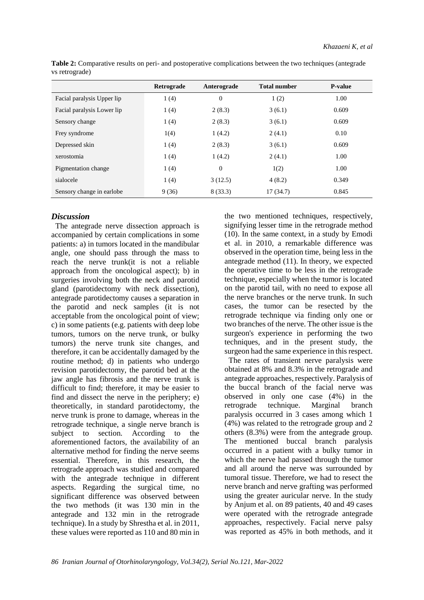|                            | Retrograde | Anterograde | <b>Total number</b> | <b>P-value</b> |
|----------------------------|------------|-------------|---------------------|----------------|
| Facial paralysis Upper lip | 1(4)       | $\theta$    | 1(2)                | 1.00           |
| Facial paralysis Lower lip | 1(4)       | 2(8.3)      | 3(6.1)              | 0.609          |
| Sensory change             | 1(4)       | 2(8.3)      | 3(6.1)              | 0.609          |
| Frey syndrome              | 1(4)       | 1(4.2)      | 2(4.1)              | 0.10           |
| Depressed skin             | 1(4)       | 2(8.3)      | 3(6.1)              | 0.609          |
| xerostomia                 | 1(4)       | 1(4.2)      | 2(4.1)              | 1.00           |
| Pigmentation change        | 1(4)       | $\theta$    | 1(2)                | 1.00           |
| sialocele                  | 1(4)       | 3(12.5)     | 4(8.2)              | 0.349          |
| Sensory change in earlobe. | 9(36)      | 8(33.3)     | 17(34.7)            | 0.845          |

**Table 2:** Comparative results on peri- and postoperative complications between the two techniques (antegrade vs retrograde)

## *Discussion*

The antegrade nerve dissection approach is accompanied by certain complications in some patients: a) in tumors located in the mandibular angle, one should pass through the mass to reach the nerve trunk(it is not a reliable approach from the oncological aspect); b) in surgeries involving both the neck and parotid gland (parotidectomy with neck dissection), antegrade parotidectomy causes a separation in the parotid and neck samples (it is not acceptable from the oncological point of view; c) in some patients (e.g. patients with deep lobe tumors, tumors on the nerve trunk, or bulky tumors) the nerve trunk site changes, and therefore, it can be accidentally damaged by the routine method; d) in patients who undergo revision parotidectomy, the parotid bed at the jaw angle has fibrosis and the nerve trunk is difficult to find; therefore, it may be easier to find and dissect the nerve in the periphery; e) theoretically, in standard parotidectomy, the nerve trunk is prone to damage, whereas in the retrograde technique, a single nerve branch is subject to section. According to the aforementioned factors, the availability of an alternative method for finding the nerve seems essential. Therefore, in this research, the retrograde approach was studied and compared with the antegrade technique in different aspects. Regarding the surgical time, no significant difference was observed between the two methods (it was 130 min in the antegrade and 132 min in the retrograde technique). In a study by Shrestha et al. in 2011, these values were reported as 110 and 80 min in

the two mentioned techniques, respectively, signifying lesser time in the retrograde method (10). In the same context, in a study by Emodi et al. in 2010, a remarkable difference was observed in the operation time, being less in the antegrade method (11). In theory, we expected the operative time to be less in the retrograde technique, especially when the tumor is located on the parotid tail, with no need to expose all the nerve branches or the nerve trunk. In such cases, the tumor can be resected by the retrograde technique via finding only one or two branches of the nerve. The other issue is the surgeon's experience in performing the two techniques, and in the present study, the surgeon had the same experience in this respect.

The rates of transient nerve paralysis were obtained at 8% and 8.3% in the retrograde and antegrade approaches, respectively. Paralysis of the buccal branch of the facial nerve was observed in only one case (4%) in the retrograde technique. Marginal branch paralysis occurred in 3 cases among which 1 (4%) was related to the retrograde group and 2 others (8.3%) were from the antegrade group. The mentioned buccal branch paralysis occurred in a patient with a bulky tumor in which the nerve had passed through the tumor and all around the nerve was surrounded by tumoral tissue. Therefore, we had to resect the nerve branch and nerve grafting was performed using the greater auricular nerve. In the study by Anjum et al. on 89 patients, 40 and 49 cases were operated with the retrograde antegrade approaches, respectively. Facial nerve palsy was reported as 45% in both methods, and it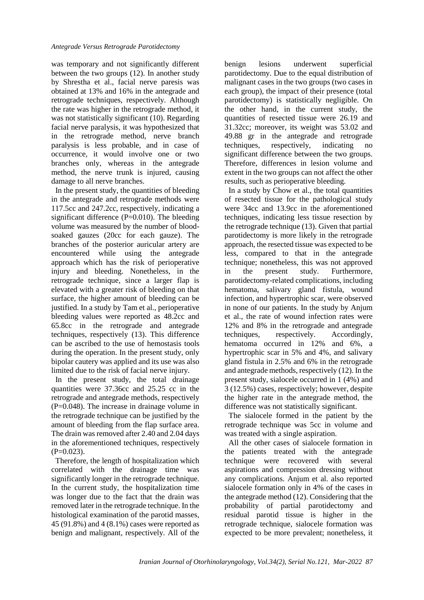was temporary and not significantly different between the two groups (12). In another study by Shrestha et al., facial nerve paresis was obtained at 13% and 16% in the antegrade and retrograde techniques, respectively. Although the rate was higher in the retrograde method, it was not statistically significant (10). Regarding facial nerve paralysis, it was hypothesized that in the retrograde method, nerve branch paralysis is less probable, and in case of occurrence, it would involve one or two branches only, whereas in the antegrade method, the nerve trunk is injured, causing damage to all nerve branches.

In the present study, the quantities of bleeding in the antegrade and retrograde methods were 117.5cc and 247.2cc, respectively, indicating a significant difference  $(P=0.010)$ . The bleeding volume was measured by the number of bloodsoaked gauzes (20cc for each gauze). The branches of the posterior auricular artery are encountered while using the antegrade approach which has the risk of perioperative injury and bleeding. Nonetheless, in the retrograde technique, since a larger flap is elevated with a greater risk of bleeding on that surface, the higher amount of bleeding can be justified. In a study by Tam et al., perioperative bleeding values were reported as 48.2cc and 65.8cc in the retrograde and antegrade techniques, respectively (13). This difference can be ascribed to the use of hemostasis tools during the operation. In the present study, only bipolar cautery was applied and its use was also limited due to the risk of facial nerve injury.

In the present study, the total drainage quantities were 37.36cc and 25.25 cc in the retrograde and antegrade methods, respectively (P=0.048). The increase in drainage volume in the retrograde technique can be justified by the amount of bleeding from the flap surface area. The drain was removed after 2.40 and 2.04 days in the aforementioned techniques, respectively  $(P=0.023)$ .

Therefore, the length of hospitalization which correlated with the drainage time was significantly longer in the retrograde technique. In the current study, the hospitalization time was longer due to the fact that the drain was removed later in the retrograde technique. In the histological examination of the parotid masses, 45 (91.8%) and 4 (8.1%) cases were reported as benign and malignant, respectively. All of the benign lesions underwent superficial parotidectomy. Due to the equal distribution of malignant cases in the two groups (two cases in each group), the impact of their presence (total parotidectomy) is statistically negligible. On the other hand, in the current study, the quantities of resected tissue were 26.19 and 31.32cc; moreover, its weight was 53.02 and 49.88 gr in the antegrade and retrograde techniques, respectively, indicating no significant difference between the two groups. Therefore, differences in lesion volume and extent in the two groups can not affect the other results, such as perioperative bleeding.

In a study by Chow et al., the total quantities of resected tissue for the pathological study were 34cc and 13.9cc in the aforementioned techniques, indicating less tissue resection by the retrograde technique (13). Given that partial parotidectomy is more likely in the retrograde approach, the resected tissue was expected to be less, compared to that in the antegrade technique; nonetheless, this was not approved in the present study. Furthermore, parotidectomy-related complications, including hematoma, salivary gland fistula, wound infection, and hypertrophic scar, were observed in none of our patients. In the study by Anjum et al., the rate of wound infection rates were 12% and 8% in the retrograde and antegrade techniques, respectively. Accordingly, hematoma occurred in 12% and 6%, a hypertrophic scar in 5% and 4%, and salivary gland fistula in 2.5% and 6% in the retrograde and antegrade methods, respectively (12). In the present study, sialocele occurred in 1 (4%) and 3 (12.5%) cases, respectively; however, despite the higher rate in the antegrade method, the difference was not statistically significant.

The sialocele formed in the patient by the retrograde technique was 5cc in volume and was treated with a single aspiration.

All the other cases of sialocele formation in the patients treated with the antegrade technique were recovered with several aspirations and compression dressing without any complications. Anjum et al. also reported sialocele formation only in 4% of the cases in the antegrade method (12). Considering that the probability of partial parotidectomy and residual parotid tissue is higher in the retrograde technique, sialocele formation was expected to be more prevalent; nonetheless, it